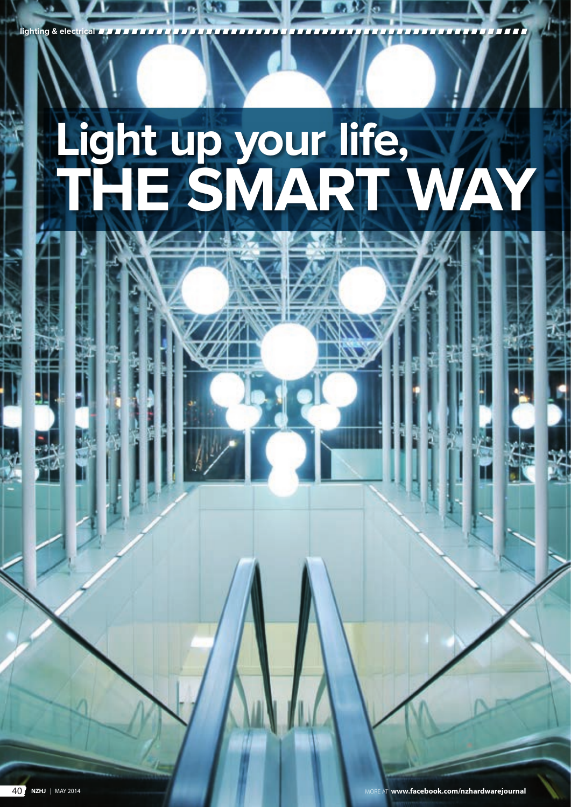# **Light up your life, the smart way**

**lighting & e**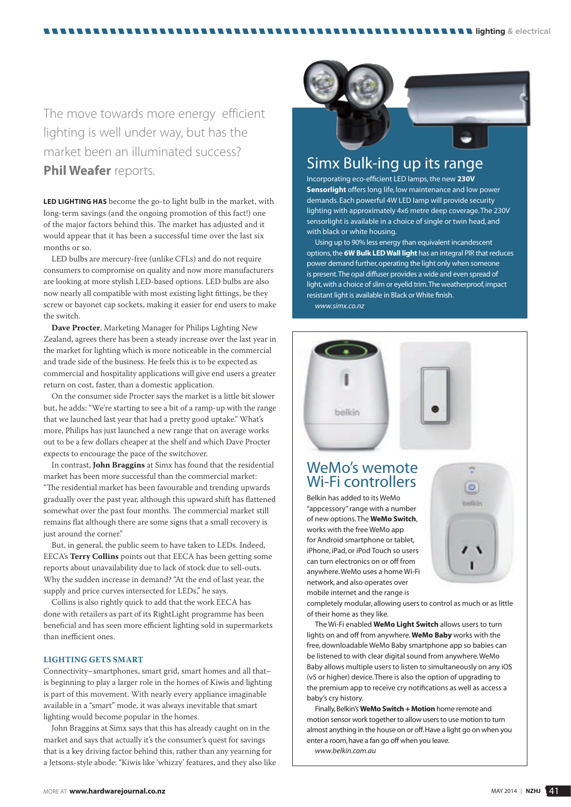The move towards more energy efficient lighting is well under way, but has the market been an illuminated success? **Phil Weafer** reports. **Phil Weafer** reports.

. . . . . . . . . .

**LED lighting has** become the go-to light bulb in the market, with long-term savings (and the ongoing promotion of this fact!) one of the major factors behind this. The market has adjusted and it would appear that it has been a successful time over the last six months or so.

LED bulbs are mercury-free (unlike CFLs) and do not require consumers to compromise on quality and now more manufacturers are looking at more stylish LED-based options. LED bulbs are also now nearly all compatible with most existing light fittings, be they screw or bayonet cap sockets, making it easier for end users to make the switch.

**Dave Procter**, Marketing Manager for Philips Lighting New Zealand, agrees there has been a steady increase over the last year in the market for lighting which is more noticeable in the commercial and trade side of the business. He feels this is to be expected as commercial and hospitality applications will give end users a greater return on cost, faster, than a domestic application.

On the consumer side Procter says the market is a little bit slower but, he adds: "We're starting to see a bit of a ramp-up with the range that we launched last year that had a pretty good uptake." What's more, Philips has just launched a new range that on average works out to be a few dollars cheaper at the shelf and which Dave Procter expects to encourage the pace of the switchover.

In contrast, **John Braggins** at Simx has found that the residential market has been more successful than the commercial market: "The residential market has been favourable and trending upwards gradually over the past year, although this upward shift has flattened somewhat over the past four months. The commercial market still remains flat although there are some signs that a small recovery is just around the corner."

But, in general, the public seem to have taken to LEDs. Indeed, EECA's **Terry Collins** points out that EECA has been getting some reports about unavailability due to lack of stock due to sell-outs. Why the sudden increase in demand? "At the end of last year, the supply and price curves intersected for LEDs," he says.

Collins is also rightly quick to add that the work EECA has done with retailers as part of its RightLight programme has been beneficial and has seen more efficient lighting sold in supermarkets than inefficient ones.

#### **LIGHTING GETS SMART**

Connectivity–smartphones, smart grid, smart homes and all that– is beginning to play a larger role in the homes of Kiwis and lighting is part of this movement. With nearly every appliance imaginable available in a "smart" mode, it was always inevitable that smart lighting would become popular in the homes.

John Braggins at Simx says that this has already caught on in the market and says that actually it's the consumer's quest for savings that is a key driving factor behind this, rather than any yearning for a Jetsons-style abode: "Kiwis like 'whizzy' features, and they also like



**LILLIGhting & electrical** 

Incorporating eco-efficient LED lamps, the new **230V Sensorlight** offers long life, low maintenance and low power demands. Each powerful 4W LED lamp will provide security lighting with approximately 4x6 metre deep coverage. The 230V sensorlight is available in a choice of single or twin head, and with black or white housing.

Using up to 90% less energy than equivalent incandescent options, the **6W Bulk LED Wall light** has an integral PIR that reduces power demand further, operating the light only when someone is present. The opal diffuser provides a wide and even spread of light, with a choice of slim or eyelid trim. The weatherproof, impact resistant light is available in Black or White finish. *www.simx.co.nz*





### WeMo's wemote Wi-Fi controllers

Belkin has added to its WeMo "appcessory" range with a number of new options. The **WeMo Switch**, works with the free WeMo app for Android smartphone or tablet, iPhone, iPad, or iPod Touch so users can turn electronics on or off from anywhere. WeMo uses a home Wi-Fi network, and also operates over mobile internet and the range is



completely modular, allowing users to control as much or as little of their home as they like.

The Wi-Fi enabled **WeMo Light Switch** allows users to turn lights on and off from anywhere. **WeMo Baby** works with the free, downloadable WeMo Baby smartphone app so babies can be listened to with clear digital sound from anywhere. WeMo Baby allows multiple users to listen to simultaneously on any iOS (v5 or higher) device. There is also the option of upgrading to the premium app to receive cry notifications as well as access a baby's cry history.

Finally, Belkin's **WeMo Switch + Motion** home remote and motion sensor work together to allow users to use motion to turn almost anything in the house on or off. Have a light go on when you enter a room, have a fan go off when you leave. *www.belkin.com.au*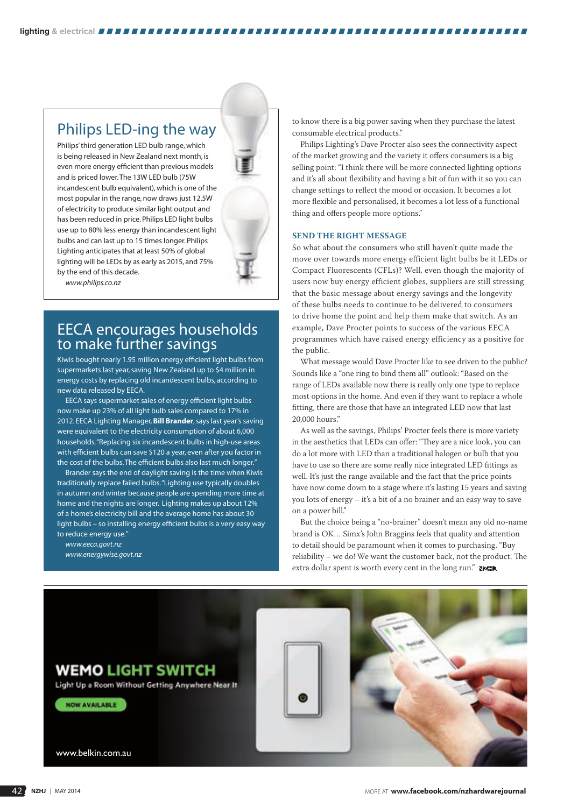#### Philips LED-ing the way

Philips' third generation LED bulb range, which is being released in New Zealand next month, is even more energy efficient than previous models and is priced lower. The 13W LED bulb (75W incandescent bulb equivalent), which is one of the most popular in the range, now draws just 12.5W of electricity to produce similar light output and has been reduced in price. Philips LED light bulbs use up to 80% less energy than incandescent light bulbs and can last up to 15 times longer. Philips Lighting anticipates that at least 50% of global lighting will be LEDs by as early as 2015, and 75% by the end of this decade.



*www.philips.co.nz*

#### EECA encourages households to make further savings

Kiwis bought nearly 1.95 million energy efficient light bulbs from supermarkets last year, saving New Zealand up to \$4 million in energy costs by replacing old incandescent bulbs, according to new data released by EECA.

EECA says supermarket sales of energy efficient light bulbs now make up 23% of all light bulb sales compared to 17% in 2012. EECA Lighting Manager, **Bill Brander**, says last year's saving were equivalent to the electricity consumption of about 6,000 households. "Replacing six incandescent bulbs in high-use areas with efficient bulbs can save \$120 a year, even after you factor in the cost of the bulbs. The efficient bulbs also last much longer."

Brander says the end of daylight saving is the time when Kiwis traditionally replace failed bulbs. "Lighting use typically doubles in autumn and winter because people are spending more time at home and the nights are longer. Lighting makes up about 12% of a home's electricity bill and the average home has about 30 light bulbs – so installing energy efficient bulbs is a very easy way to reduce energy use."

*www.eeca.govt.nz www.energywise.govt.nz* to know there is a big power saving when they purchase the latest consumable electrical products."

Philips Lighting's Dave Procter also sees the connectivity aspect of the market growing and the variety it offers consumers is a big selling point: "I think there will be more connected lighting options and it's all about flexibility and having a bit of fun with it so you can change settings to reflect the mood or occasion. It becomes a lot more flexible and personalised, it becomes a lot less of a functional thing and offers people more options."

#### **SEND THE RIGHT MESSAGE**

So what about the consumers who still haven't quite made the move over towards more energy efficient light bulbs be it LEDs or Compact Fluorescents (CFLs)? Well, even though the majority of users now buy energy efficient globes, suppliers are still stressing that the basic message about energy savings and the longevity of these bulbs needs to continue to be delivered to consumers to drive home the point and help them make that switch. As an example, Dave Procter points to success of the various EECA programmes which have raised energy efficiency as a positive for the public.

What message would Dave Procter like to see driven to the public? Sounds like a "one ring to bind them all" outlook: "Based on the range of LEDs available now there is really only one type to replace most options in the home. And even if they want to replace a whole fitting, there are those that have an integrated LED now that last 20,000 hours."

As well as the savings, Philips' Procter feels there is more variety in the aesthetics that LEDs can offer: "They are a nice look, you can do a lot more with LED than a traditional halogen or bulb that you have to use so there are some really nice integrated LED fittings as well. It's just the range available and the fact that the price points have now come down to a stage where it's lasting 15 years and saving you lots of energy – it's a bit of a no brainer and an easy way to save on a power bill."

But the choice being a "no-brainer" doesn't mean any old no-name brand is OK… Simx's John Braggins feels that quality and attention to detail should be paramount when it comes to purchasing. "Buy reliability – we do! We want the customer back, not the product. The extra dollar spent is worth every cent in the long run." NAID.